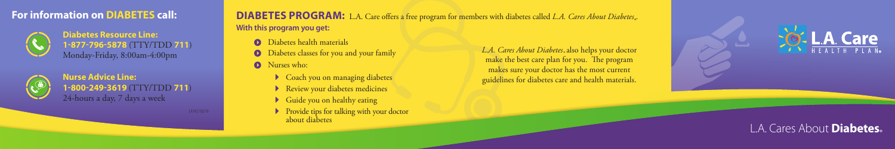# **For information on DIABETES call:**



**Diabetes Resource Line: 1-877-796-5878** (**TTY/TDD** 711) Monday-Friday, 8:00am-4:00pm



## **Nurse Advice Line: 1-800-249-3619 (TTY/TDD 711)** 24-hours a day, 7 days a week

LA142102/16

**DIABETES PROGRAM:** L.A. Care offers a free program for members with diabetes called L.A. Cares About Diabetes. **With this program you get:** 

- **O** Diabetes health materials
- $\bullet$  Diabetes classes for you and your family
- **O** Nurses who:
	- $\bullet$  Coach you on managing diabetes
	- $\blacktriangleright$  Review your diabetes medicines
	- $\blacktriangleright$  Guide you on healthy eating
	- $\blacktriangleright$  Provide tips for talking with your doctor about diabetes

L.A. Cares About Diabetes<sub>®</sub> also helps your doctor make the best care plan for you. The program makes sure your doctor has the most current guidelines for diabetes care and health materials.





# L.A. Cares About **Diabetes.**